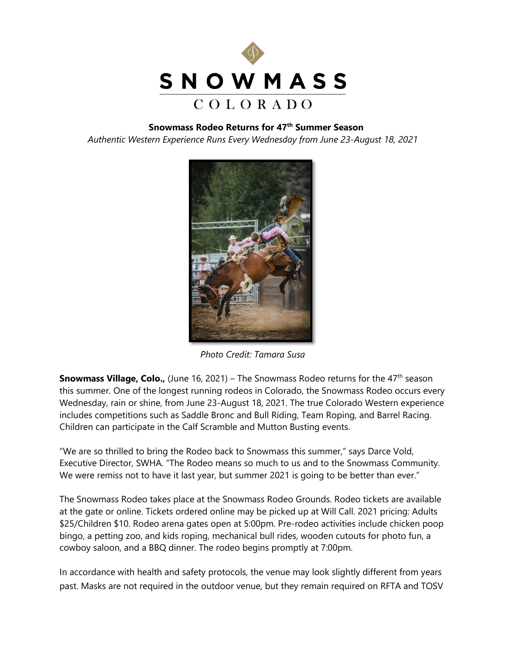

## **Snowmass Rodeo Returns for 47th Summer Season**

*Authentic Western Experience Runs Every Wednesday from June 23-August 18, 2021*



*Photo Credit: Tamara Susa*

**Snowmass Village, Colo.,** (June 16, 2021) – The Snowmass Rodeo returns for the 47<sup>th</sup> season this summer. One of the longest running rodeos in Colorado, the Snowmass Rodeo occurs every Wednesday, rain or shine, from June 23-August 18, 2021. The true Colorado Western experience includes competitions such as Saddle Bronc and Bull Riding, Team Roping, and Barrel Racing. Children can participate in the Calf Scramble and Mutton Busting events.

"We are so thrilled to bring the Rodeo back to Snowmass this summer," says Darce Vold, Executive Director, SWHA. "The Rodeo means so much to us and to the Snowmass Community. We were remiss not to have it last year, but summer 2021 is going to be better than ever."

The Snowmass Rodeo takes place at the Snowmass Rodeo Grounds. Rodeo tickets are available at the gate or online. Tickets ordered online may be picked up at Will Call. 2021 pricing: Adults \$25/Children \$10. Rodeo arena gates open at 5:00pm. Pre-rodeo activities include chicken poop bingo, a petting zoo, and kids roping, mechanical bull rides, wooden cutouts for photo fun, a cowboy saloon, and a BBQ dinner. The rodeo begins promptly at 7:00pm.

In accordance with health and safety protocols, the venue may look slightly different from years past. Masks are not required in the outdoor venue, but they remain required on RFTA and TOSV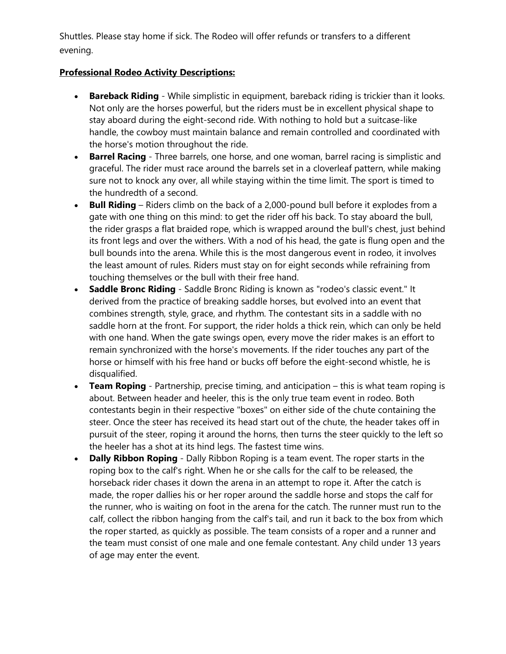Shuttles. Please stay home if sick. The Rodeo will offer refunds or transfers to a different evening.

## **Professional Rodeo Activity Descriptions:**

- **Bareback Riding**  While simplistic in equipment, bareback riding is trickier than it looks. Not only are the horses powerful, but the riders must be in excellent physical shape to stay aboard during the eight-second ride. With nothing to hold but a suitcase-like handle, the cowboy must maintain balance and remain controlled and coordinated with the horse's motion throughout the ride.
- **Barrel Racing** Three barrels, one horse, and one woman, barrel racing is simplistic and graceful. The rider must race around the barrels set in a cloverleaf pattern, while making sure not to knock any over, all while staying within the time limit. The sport is timed to the hundredth of a second.
- **Bull Riding**  Riders climb on the back of a 2,000-pound bull before it explodes from a gate with one thing on this mind: to get the rider off his back. To stay aboard the bull, the rider grasps a flat braided rope, which is wrapped around the bull's chest, just behind its front legs and over the withers. With a nod of his head, the gate is flung open and the bull bounds into the arena. While this is the most dangerous event in rodeo, it involves the least amount of rules. Riders must stay on for eight seconds while refraining from touching themselves or the bull with their free hand.
- **Saddle Bronc Riding**  Saddle Bronc Riding is known as "rodeo's classic event." It derived from the practice of breaking saddle horses, but evolved into an event that combines strength, style, grace, and rhythm. The contestant sits in a saddle with no saddle horn at the front. For support, the rider holds a thick rein, which can only be held with one hand. When the gate swings open, every move the rider makes is an effort to remain synchronized with the horse's movements. If the rider touches any part of the horse or himself with his free hand or bucks off before the eight-second whistle, he is disqualified.
- **Team Roping**  Partnership, precise timing, and anticipation this is what team roping is about. Between header and heeler, this is the only true team event in rodeo. Both contestants begin in their respective "boxes" on either side of the chute containing the steer. Once the steer has received its head start out of the chute, the header takes off in pursuit of the steer, roping it around the horns, then turns the steer quickly to the left so the heeler has a shot at its hind legs. The fastest time wins.
- **Dally Ribbon Roping**  Dally Ribbon Roping is a team event. The roper starts in the roping box to the calf's right. When he or she calls for the calf to be released, the horseback rider chases it down the arena in an attempt to rope it. After the catch is made, the roper dallies his or her roper around the saddle horse and stops the calf for the runner, who is waiting on foot in the arena for the catch. The runner must run to the calf, collect the ribbon hanging from the calf's tail, and run it back to the box from which the roper started, as quickly as possible. The team consists of a roper and a runner and the team must consist of one male and one female contestant. Any child under 13 years of age may enter the event.